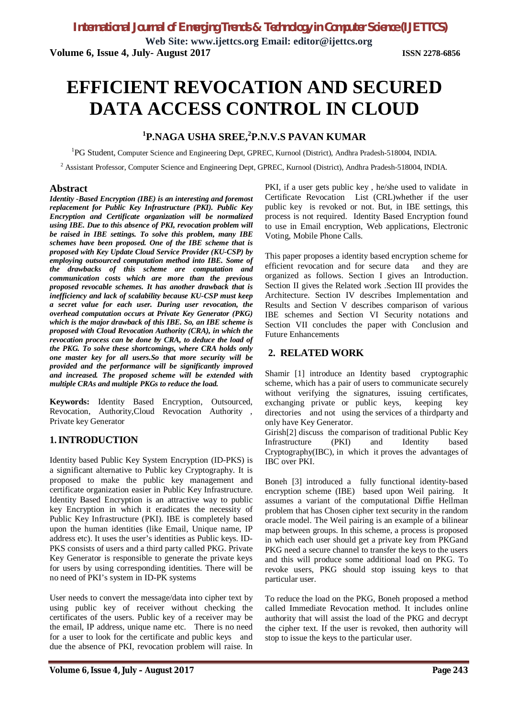**Web Site: www.ijettcs.org Email: editor@ijettcs.org Volume 6, Issue 4, July- August 2017 ISSN 2278-6856**

# **EFFICIENT REVOCATION AND SECURED DATA ACCESS CONTROL IN CLOUD**

# **1 P.NAGA USHA SREE,<sup>2</sup> P.N.V.S PAVAN KUMAR**

<sup>1</sup>PG Student, Computer Science and Engineering Dept, GPREC, Kurnool (District), Andhra Pradesh-518004, INDIA.

<sup>2</sup> Assistant Professor, Computer Science and Engineering Dept, GPREC, Kurnool (District), Andhra Pradesh-518004, INDIA.

#### **Abstract**

*Identity -Based Encryption (IBE) is an interesting and foremost replacement for Public Key Infrastructure (PKI). Public Key Encryption and Certificate organization will be normalized using IBE. Due to this absence of PKI, revocation problem will be raised in IBE settings. To solve this problem, many IBE schemes have been proposed. One of the IBE scheme that is proposed with Key Update Cloud Service Provider (KU-CSP) by employing outsourced computation method into IBE. Some of the drawbacks of this scheme are computation and communication costs which are more than the previous proposed revocable schemes. It has another drawback that is inefficiency and lack of scalability because KU-CSP must keep a secret value for each user. During user revocation, the overhead computation occurs at Private Key Generator (PKG) which is the major drawback of this IBE. So, an IBE scheme is proposed with Cloud Revocation Authority (CRA), in which the revocation process can be done by CRA, to deduce the load of the PKG. To solve these shortcomings, where CRA holds only one master key for all users.So that more security will be provided and the performance will be significantly improved and increased. The proposed scheme will be extended with multiple CRAs and multiple PKGs to reduce the load.*

**Keywords:** Identity Based Encryption, Outsourced, Revocation, Authority,Cloud Revocation Authority , Private key Generator

### **1.INTRODUCTION**

Identity based Public Key System Encryption (ID-PKS) is a significant alternative to Public key Cryptography. It is proposed to make the public key management and certificate organization easier in Public Key Infrastructure. Identity Based Encryption is an attractive way to public key Encryption in which it eradicates the necessity of Public Key Infrastructure (PKI). IBE is completely based upon the human identities (like Email, Unique name, IP address etc). It uses the user's identities as Public keys. ID-PKS consists of users and a third party called PKG. Private Key Generator is responsible to generate the private keys for users by using corresponding identities. There will be no need of PKI's system in ID-PK systems

User needs to convert the message/data into cipher text by using public key of receiver without checking the certificates of the users. Public key of a receiver may be the email, IP address, unique name etc. There is no need for a user to look for the certificate and public keys and due the absence of PKI, revocation problem will raise. In

PKI, if a user gets public key , he/she used to validate in Certificate Revocation List (CRL)whether if the user public key is revoked or not. But, in IBE settings, this process is not required. Identity Based Encryption found to use in Email encryption, Web applications, Electronic Voting, Mobile Phone Calls.

This paper proposes a identity based encryption scheme for efficient revocation and for secure data and they are organized as follows. Section I gives an Introduction. Section II gives the Related work .Section III provides the Architecture. Section IV describes Implementation and Results and Section V describes comparison of various IBE schemes and Section VI Security notations and Section VII concludes the paper with Conclusion and Future Enhancements

#### **2. RELATED WORK**

Shamir [1] introduce an Identity based cryptographic scheme, which has a pair of users to communicate securely without verifying the signatures, issuing certificates, exchanging private or public keys, keeping key directories and not using the services of a thirdparty and only have Key Generator.

Girish[2] discuss the comparison of traditional Public Key Infrastructure (PKI) and Identity based Cryptography(IBC), in which it proves the advantages of IBC over PKI.

Boneh [3] introduced a fully functional identity-based encryption scheme (IBE) based upon Weil pairing. It assumes a variant of the computational Diffie Hellman problem that has Chosen cipher text security in the random oracle model. The Weil pairing is an example of a bilinear map between groups. In this scheme, a process is proposed in which each user should get a private key from PKGand PKG need a secure channel to transfer the keys to the users and this will produce some additional load on PKG. To revoke users, PKG should stop issuing keys to that particular user.

To reduce the load on the PKG, Boneh proposed a method called Immediate Revocation method. It includes online authority that will assist the load of the PKG and decrypt the cipher text. If the user is revoked, then authority will stop to issue the keys to the particular user.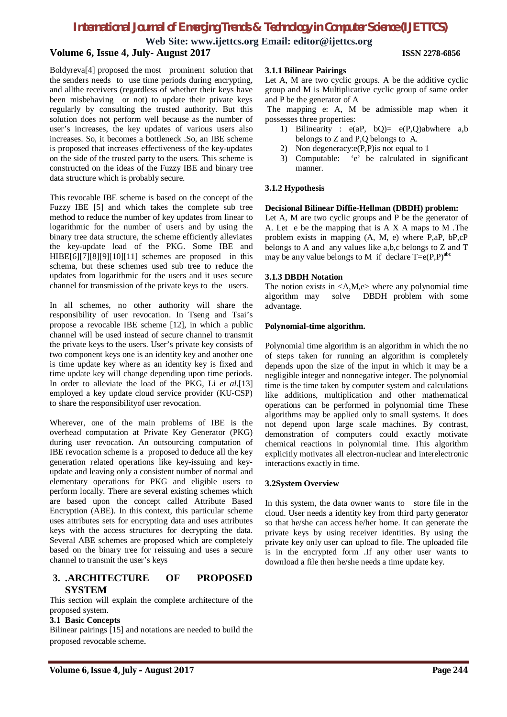**Web Site: www.ijettcs.org Email: editor@ijettcs.org**

## **Volume 6, Issue 4, July- August 2017 ISSN 2278-6856**

Boldyreva[4] proposed the most prominent solution that the senders needs to use time periods during encrypting, and allthe receivers (regardless of whether their keys have been misbehaving or not) to update their private keys regularly by consulting the trusted authority. But this solution does not perform well because as the number of user's increases, the key updates of various users also increases. So, it becomes a bottleneck .So, an IBE scheme is proposed that increases effectiveness of the key-updates on the side of the trusted party to the users. This scheme is constructed on the ideas of the Fuzzy IBE and binary tree data structure which is probably secure.

This revocable IBE scheme is based on the concept of the Fuzzy IBE [5] and which takes the complete sub tree method to reduce the number of key updates from linear to logarithmic for the number of users and by using the binary tree data structure, the scheme efficiently alleviates the key-update load of the PKG. Some IBE and HIBE[6][7][8][9][10][11] schemes are proposed in this schema, but these schemes used sub tree to reduce the updates from logarithmic for the users and it uses secure channel for transmission of the private keys to the users.

In all schemes, no other authority will share the responsibility of user revocation. In Tseng and Tsai's propose a revocable IBE scheme [12], in which a public channel will be used instead of secure channel to transmit the private keys to the users. User's private key consists of two component keys one is an identity key and another one is time update key where as an identity key is fixed and time update key will change depending upon time periods. In order to alleviate the load of the PKG, Li *et al*.[13] employed a key update cloud service provider (KU-CSP) to share the responsibilityof user revocation.

Wherever, one of the main problems of IBE is the overhead computation at Private Key Generator (PKG) during user revocation. An outsourcing computation of IBE revocation scheme is a proposed to deduce all the key generation related operations like key-issuing and keyupdate and leaving only a consistent number of normal and elementary operations for PKG and eligible users to perform locally. There are several existing schemes which are based upon the concept called Attribute Based Encryption (ABE). In this context, this particular scheme uses attributes sets for encrypting data and uses attributes keys with the access structures for decrypting the data. Several ABE schemes are proposed which are completely based on the binary tree for reissuing and uses a secure channel to transmit the user's keys

#### **3. .ARCHITECTURE OF PROPOSED SYSTEM**

This section will explain the complete architecture of the proposed system.

#### **3.1 Basic Concepts**

Bilinear pairings [15] and notations are needed to build the proposed revocable scheme.

#### **3.1.1 Bilinear Pairings**

Let A, M are two cyclic groups. A be the additive cyclic group and M is Multiplicative cyclic group of same order and P be the generator of A

The mapping e: A, M be admissible map when it possesses three properties:

- 1) Bilinearity : e(aP, bQ)= e(P,Q)abwhere a,b belongs to Z and P,Q belongs to A.
- 2) Non degeneracy: e(P,P) is not equal to 1
- 3) Computable: 'e' be calculated in significant manner.

#### **3.1.2 Hypothesis**

#### **Decisional Bilinear Diffie-Hellman (DBDH) problem:**

Let A, M are two cyclic groups and P be the generator of A. Let e be the mapping that is A X A maps to M .The problem exists in mapping (A, M, e) where P,aP, bP,cP belongs to A and any values like a,b,c belongs to Z and T may be any value belongs to M if declare  $T= e(P,P)^{abc}$ 

#### **3.1.3 DBDH Notation**

The notion exists in  $\langle A,M,e \rangle$  where any polynomial time algorithm may solve DBDH problem with some advantage.

#### **Polynomial-time algorithm.**

Polynomial time algorithm is an algorithm in which the no of steps taken for running an algorithm is completely depends upon the size of the input in which it may be a negligible integer and nonnegative integer. The polynomial time is the time taken by computer system and calculations like additions, multiplication and other mathematical operations can be performed in polynomial time These algorithms may be applied only to small systems. It does not depend upon large scale machines. By contrast, demonstration of computers could exactly motivate chemical reactions in polynomial time. This algorithm explicitly motivates all electron-nuclear and interelectronic interactions exactly in time.

#### **3.2System Overview**

In this system, the data owner wants to store file in the cloud. User needs a identity key from third party generator so that he/she can access he/her home. It can generate the private keys by using receiver identities. By using the private key only user can upload to file. The uploaded file is in the encrypted form .If any other user wants to download a file then he/she needs a time update key.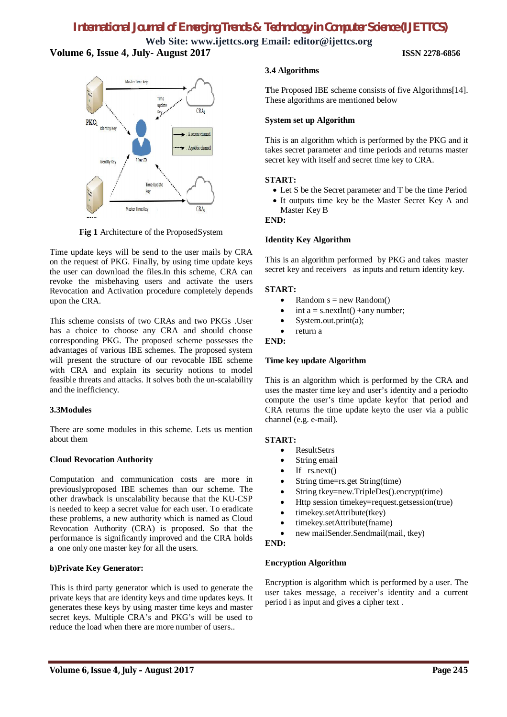**Web Site: www.ijettcs.org Email: editor@ijettcs.org Volume 6, Issue 4, July- August 2017 ISSN 2278-6856**



**Fig 1** Architecture of the ProposedSystem

Time update keys will be send to the user mails by CRA on the request of PKG. Finally, by using time update keys the user can download the files.In this scheme, CRA can revoke the misbehaving users and activate the users Revocation and Activation procedure completely depends upon the CRA.

This scheme consists of two CRAs and two PKGs .User has a choice to choose any CRA and should choose corresponding PKG. The proposed scheme possesses the advantages of various IBE schemes. The proposed system will present the structure of our revocable IBE scheme with CRA and explain its security notions to model feasible threats and attacks. It solves both the un-scalability and the inefficiency.

#### **3.3Modules**

There are some modules in this scheme. Lets us mention about them

#### **Cloud Revocation Authority**

Computation and communication costs are more in previouslyproposed IBE schemes than our scheme. The other drawback is unscalability because that the KU-CSP is needed to keep a secret value for each user. To eradicate these problems, a new authority which is named as Cloud Revocation Authority (CRA) is proposed. So that the performance is significantly improved and the CRA holds a one only one master key for all the users.

#### **b)Private Key Generator:**

This is third party generator which is used to generate the private keys that are identity keys and time updates keys. It generates these keys by using master time keys and master secret keys. Multiple CRA's and PKG's will be used to reduce the load when there are more number of users..

#### **3.4 Algorithms**

**T**he Proposed IBE scheme consists of five Algorithms[14]. These algorithms are mentioned below

#### **System set up Algorithm**

This is an algorithm which is performed by the PKG and it takes secret parameter and time periods and returns master secret key with itself and secret time key to CRA.

#### **START:**

- Let S be the Secret parameter and T be the time Period
- It outputs time key be the Master Secret Key A and Master Key B

#### **END:**

#### **Identity Key Algorithm**

This is an algorithm performed by PKG and takes master secret key and receivers as inputs and return identity key.

#### **START:**

- Random  $s = new Random()$
- $\bullet$  int a = s.nextInt() +any number;
- System.out.print(a);
- return a

#### **END:**

#### **Time key update Algorithm**

This is an algorithm which is performed by the CRA and uses the master time key and user's identity and a periodto compute the user's time update keyfor that period and CRA returns the time update keyto the user via a public channel (e.g. e-mail).

#### **START:**

- ResultSetrs
- String email
- $\bullet$  If rs.next()
- String time=rs.get String(time)
- String tkey=new.TripleDes().encrypt(time)
- Http session timekey=request.getsession(true)
- timekey.setAttribute(tkey)
- timekey.setAttribute(fname)
- new mailSender.Sendmail(mail, tkey)

#### **END:**

#### **Encryption Algorithm**

Encryption is algorithm which is performed by a user. The user takes message, a receiver's identity and a current period i as input and gives a cipher text .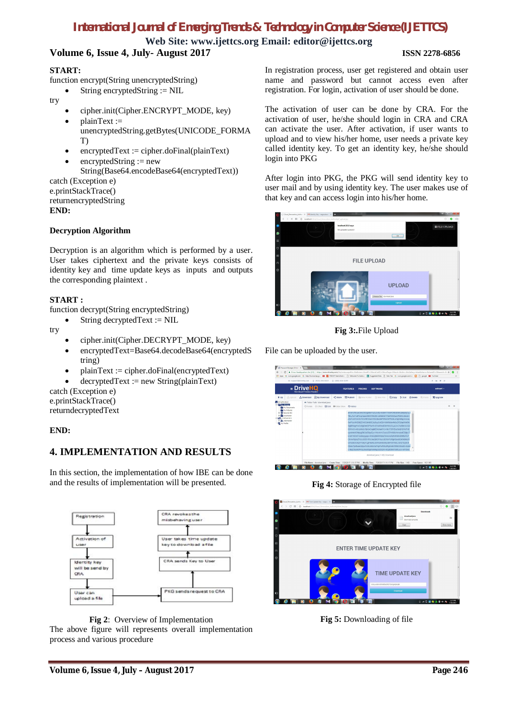**Web Site: www.ijettcs.org Email: editor@ijettcs.org**

# **Volume 6, Issue 4, July- August 2017 ISSN 2278-6856**

#### **START:**

function encrypt(String unencryptedString)

- String encryptedString := NIL
- try
- cipher.init(Cipher.ENCRYPT\_MODE, key)
- plainText := unencryptedString.getBytes(UNICODE\_FORMA T)
- encryptedText := cipher.doFinal(plainText)
- encryptedString := new String(Base64.encodeBase64(encryptedText)) catch (Exception e) e.printStackTrace()

returnencryptedString **END:**

#### **Decryption Algorithm**

Decryption is an algorithm which is performed by a user. User takes ciphertext and the private keys consists of identity key and time update keys as inputs and outputs the corresponding plaintext .

#### **START :**

function decrypt(String encryptedString)

String decryptedText := NIL

try

- cipher.init(Cipher.DECRYPT\_MODE, key)
- encryptedText=Base64.decodeBase64(encryptedS tring)
- plainText := cipher.doFinal(encryptedText)
- decryptedText := new String(plainText)

catch (Exception e) e.printStackTrace()

returndecryptedText

#### **END:**

# **4. IMPLEMENTATION AND RESULTS**

In this section, the implementation of how IBE can be done and the results of implementation will be presented.



**Fig 2**: Overview of Implementation The above figure will represents overall implementation process and various procedure

In registration process, user get registered and obtain user name and password but cannot access even after registration. For login, activation of user should be done.

The activation of user can be done by CRA. For the activation of user, he/she should login in CRA and CRA can activate the user. After activation, if user wants to upload and to view his/her home, user needs a private key called identity key. To get an identity key, he/she should login into PKG

After login into PKG, the PKG will send identity key to user mail and by using identity key. The user makes use of that key and can access login into his/her home.





File can be uploaded by the user.



**Fig 4:** Storage of Encrypted file



**Fig 5:** Downloading of file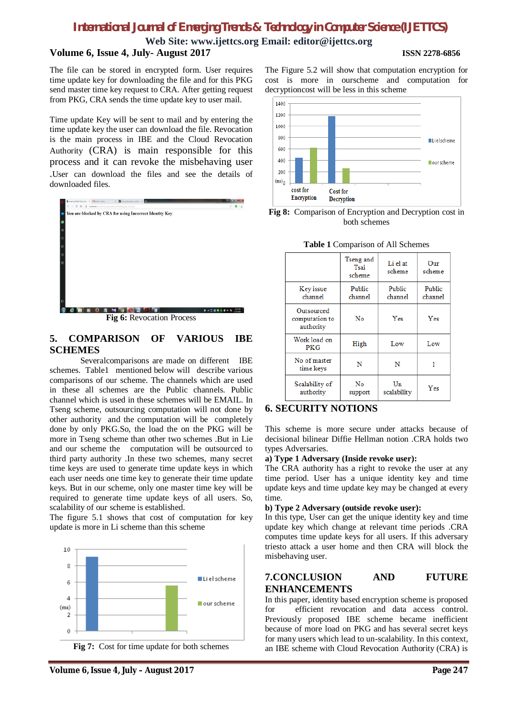**Web Site: www.ijettcs.org Email: editor@ijettcs.org**

#### **Volume 6, Issue 4, July- August 2017 ISSN 2278-6856**

The file can be stored in encrypted form. User requires time update key for downloading the file and for this PKG send master time key request to CRA. After getting request from PKG, CRA sends the time update key to user mail.

Time update Key will be sent to mail and by entering the time update key the user can download the file. Revocation is the main process in IBE and the Cloud Revocation Authority (CRA) is main responsible for this process and it can revoke the misbehaving user .User can download the files and see the details of downloaded files.



#### **Fig 6:** Revocation Process

#### **5. COMPARISON OF VARIOUS IBE SCHEMES**

Severalcomparisons are made on different IBE schemes. Table1 mentioned below will describe various comparisons of our scheme. The channels which are used in these all schemes are the Public channels. Public channel which is used in these schemes will be EMAIL. In Tseng scheme, outsourcing computation will not done by other authority and the computation will be completely done by only PKG.So, the load the on the PKG will be more in Tseng scheme than other two schemes .But in Lie and our scheme the computation will be outsourced to third party authority .In these two schemes, many secret time keys are used to generate time update keys in which each user needs one time key to generate their time update keys. But in our scheme, only one master time key will be required to generate time update keys of all users. So, scalability of our scheme is established.

The figure 5.1 shows that cost of computation for key update is more in Li scheme than this scheme





The Figure 5.2 will show that computation encryption for cost is more in ourscheme and computation for decryptioncost will be less in this scheme



**Fig 8:** Comparison of Encryption and Decryption cost in both schemes

|                                           | Tseng and<br>Tsai<br>scheme | Li el at<br>scheme | Our<br>scheme     |
|-------------------------------------------|-----------------------------|--------------------|-------------------|
| Key issue<br>channel                      | Public<br>channel           | Public<br>channel  | Public<br>channel |
| Outsourced<br>computation to<br>authority | No                          | Yes                | Yes               |
| Work load on<br>PKG                       | High                        | Low                | Low               |
| No of master<br>time keys                 | N                           | N                  |                   |
| Scalability of<br>authority               | No<br>support               | Un<br>scalability  | Yes               |

#### **Table 1** Comparison of All Schemes

### **6. SECURITY NOTIONS**

This scheme is more secure under attacks because of decisional bilinear Diffie Hellman notion .CRA holds two types Adversaries.

#### **a) Type 1 Adversary (Inside revoke user):**

The CRA authority has a right to revoke the user at any time period. User has a unique identity key and time update keys and time update key may be changed at every time.

#### **b) Type 2 Adversary (outside revoke user):**

In this type, User can get the unique identity key and time update key which change at relevant time periods .CRA computes time update keys for all users. If this adversary triesto attack a user home and then CRA will block the misbehaving user.

#### **7.CONCLUSION AND FUTURE ENHANCEMENTS**

In this paper, identity based encryption scheme is proposed for efficient revocation and data access control. Previously proposed IBE scheme became inefficient because of more load on PKG and has several secret keys for many users which lead to un-scalability. In this context, an IBE scheme with Cloud Revocation Authority (CRA) is